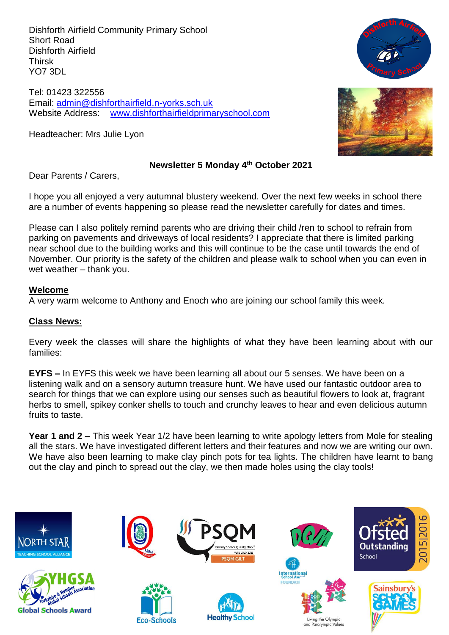Dishforth Airfield Community Primary School Short Road Dishforth Airfield Thirsk YO7 3DL

Tel: 01423 322556 Email: [admin@dishforthairfield.n-yorks.sch.uk](mailto:admin@dishforthairfield.n-yorks.sch.uk) Website Address: [www.dishforthairfieldprimaryschool.com](http://www.dishforthairfieldprimaryschool.com/)

Headteacher: Mrs Julie Lyon





#### **Newsletter 5 Monday 4 th October 2021**

Dear Parents / Carers,

I hope you all enjoyed a very autumnal blustery weekend. Over the next few weeks in school there are a number of events happening so please read the newsletter carefully for dates and times.

Please can I also politely remind parents who are driving their child /ren to school to refrain from parking on pavements and driveways of local residents? I appreciate that there is limited parking near school due to the building works and this will continue to be the case until towards the end of November. Our priority is the safety of the children and please walk to school when you can even in wet weather – thank you.

#### **Welcome**

A very warm welcome to Anthony and Enoch who are joining our school family this week.

## **Class News:**

Every week the classes will share the highlights of what they have been learning about with our families:

**EYFS –** In EYFS this week we have been learning all about our 5 senses. We have been on a listening walk and on a sensory autumn treasure hunt. We have used our fantastic outdoor area to search for things that we can explore using our senses such as beautiful flowers to look at, fragrant herbs to smell, spikey conker shells to touch and crunchy leaves to hear and even delicious autumn fruits to taste.

**Year 1 and 2 –** This week Year 1/2 have been learning to write apology letters from Mole for stealing all the stars. We have investigated different letters and their features and now we are writing our own. We have also been learning to make clay pinch pots for tea lights. The children have learnt to bang out the clay and pinch to spread out the clay, we then made holes using the clay tools!

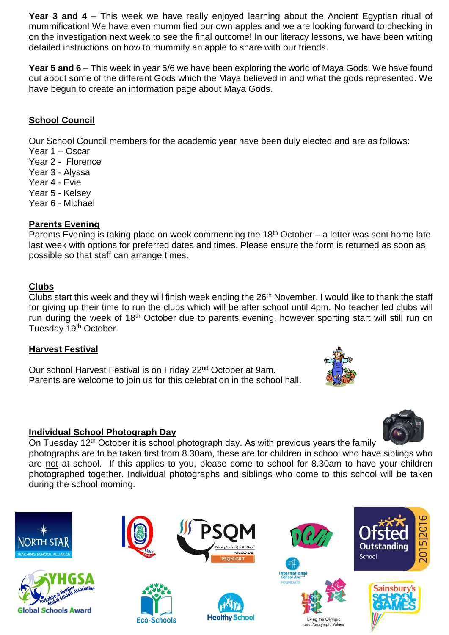**Year 3 and 4 –** This week we have really enjoyed learning about the Ancient Egyptian ritual of mummification! We have even mummified our own apples and we are looking forward to checking in on the investigation next week to see the final outcome! In our literacy lessons, we have been writing detailed instructions on how to mummify an apple to share with our friends.

**Year 5 and 6 –** This week in year 5/6 we have been exploring the world of Maya Gods. We have found out about some of the different Gods which the Maya believed in and what the gods represented. We have begun to create an information page about Maya Gods.

## **School Council**

Our School Council members for the academic year have been duly elected and are as follows:

- Year 1 Oscar
- Year 2 Florence
- Year 3 Alyssa
- Year 4 Evie
- Year 5 Kelsey
- Year 6 Michael

## **Parents Evening**

Parents Evening is taking place on week commencing the  $18<sup>th</sup>$  October – a letter was sent home late last week with options for preferred dates and times. Please ensure the form is returned as soon as possible so that staff can arrange times.

## **Clubs**

Clubs start this week and they will finish week ending the 26<sup>th</sup> November. I would like to thank the staff for giving up their time to run the clubs which will be after school until 4pm. No teacher led clubs will run during the week of 18<sup>th</sup> October due to parents evening, however sporting start will still run on Tuesday 19<sup>th</sup> October.

## **Harvest Festival**

Our school Harvest Festival is on Friday 22<sup>nd</sup> October at 9am. Parents are welcome to join us for this celebration in the school hall.

## **Individual School Photograph Day**

On Tuesday 12<sup>th</sup> October it is school photograph day. As with previous years the family

photographs are to be taken first from 8.30am, these are for children in school who have siblings who are not at school. If this applies to you, please come to school for 8.30am to have your children photographed together. Individual photographs and siblings who come to this school will be taken during the school morning.



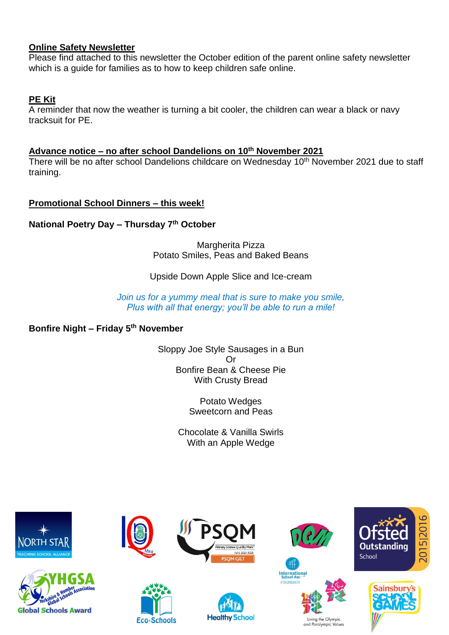## **Online Safety Newsletter**

Please find attached to this newsletter the October edition of the parent online safety newsletter which is a guide for families as to how to keep children safe online.

## **PE Kit**

A reminder that now the weather is turning a bit cooler, the children can wear a black or navy tracksuit for PE.

## **Advance notice – no after school Dandelions on 10 th November 2021**

There will be no after school Dandelions childcare on Wednesday 10<sup>th</sup> November 2021 due to staff training.

## **Promotional School Dinners – this week!**

**National Poetry Day – Thursday 7th October**

Margherita Pizza Potato Smiles, Peas and Baked Beans

## Upside Down Apple Slice and Ice-cream

*Join us for a yummy meal that is sure to make you smile, Plus with all that energy; you'll be able to run a mile!*

## **Bonfire Night – Friday 5th November**

Sloppy Joe Style Sausages in a Bun Or Bonfire Bean & Cheese Pie With Crusty Bread

> Potato Wedges Sweetcorn and Peas

Chocolate & Vanilla Swirls With an Apple Wedge







**Eco-Schools** 











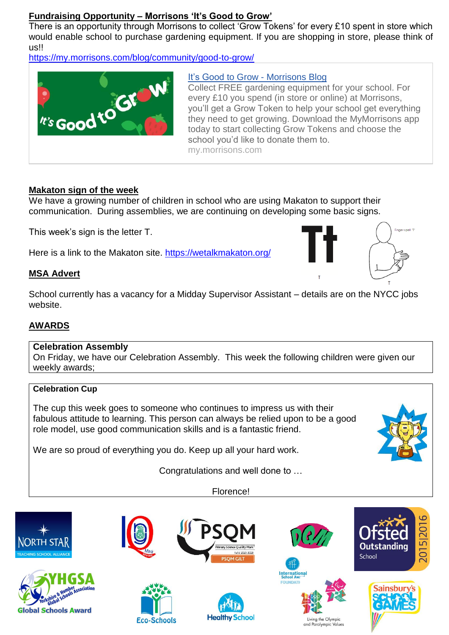## **Fundraising Opportunity – Morrisons 'It's Good to Grow'**

There is an opportunity through Morrisons to collect 'Grow Tokens' for every £10 spent in store which would enable school to purchase gardening equipment. If you are shopping in store, please think of us!!

<https://my.morrisons.com/blog/community/good-to-grow/>



## It's Good to Grow - [Morrisons Blog](https://my.morrisons.com/blog/community/good-to-grow/)

Collect FREE gardening equipment for your school. For every £10 you spend (in store or online) at Morrisons, you'll get a Grow Token to help your school get everything they need to get growing. Download the MyMorrisons app today to start collecting Grow Tokens and choose the school you'd like to donate them to. my.morrisons.com

## **Makaton sign of the week**

We have a growing number of children in school who are using Makaton to support their communication. During assemblies, we are continuing on developing some basic signs.

This week's sign is the letter T.

Here is a link to the Makaton site. https://wetalkmakaton.org/

## **MSA Advert**



School currently has a vacancy for a Midday Supervisor Assistant – details are on the NYCC jobs website.

## **AWARDS**

## **Celebration Assembly**

On Friday, we have our Celebration Assembly. This week the following children were given our weekly awards;

## **Celebration Cup**

The cup this week goes to someone who continues to impress us with their fabulous attitude to learning. This person can always be relied upon to be a good role model, use good communication skills and is a fantastic friend.

We are so proud of everything you do. Keep up all your hard work.

Congratulations and well done to …

Florence!

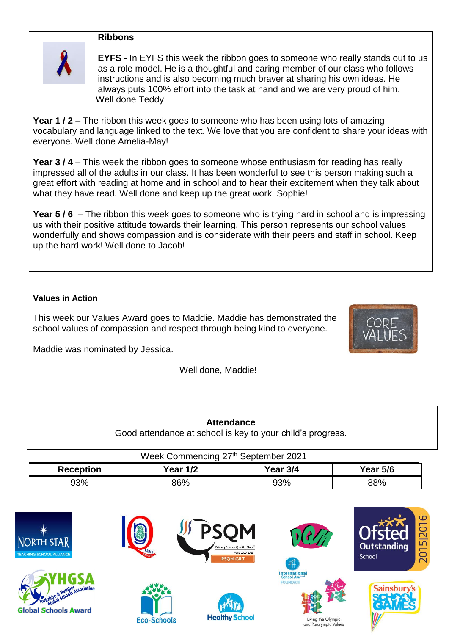#### **Ribbons**



**EYFS** - In EYFS this week the ribbon goes to someone who really stands out to us as a role model. He is a thoughtful and caring member of our class who follows instructions and is also becoming much braver at sharing his own ideas. He always puts 100% effort into the task at hand and we are very proud of him. Well done Teddy!

**Year 1 / 2 –** The ribbon this week goes to someone who has been using lots of amazing vocabulary and language linked to the text. We love that you are confident to share your ideas with everyone. Well done Amelia-May!

**Year 3 / 4** – This week the ribbon goes to someone whose enthusiasm for reading has really impressed all of the adults in our class. It has been wonderful to see this person making such a great effort with reading at home and in school and to hear their excitement when they talk about what they have read. Well done and keep up the great work, Sophie!

**Year 5 / 6** – The ribbon this week goes to someone who is trying hard in school and is impressing us with their positive attitude towards their learning. This person represents our school values wonderfully and shows compassion and is considerate with their peers and staff in school. Keep up the hard work! Well done to Jacob!

#### **Values in Action**

This week our Values Award goes to Maddie. Maddie has demonstrated the school values of compassion and respect through being kind to everyone.



Well done, Maddie!

| <b>Attendance</b><br>Good attendance at school is key to your child's progress. |                 |          |                 |  |  |  |  |
|---------------------------------------------------------------------------------|-----------------|----------|-----------------|--|--|--|--|
| Week Commencing 27th September 2021                                             |                 |          |                 |  |  |  |  |
| <b>Reception</b>                                                                | <b>Year 1/2</b> | Year 3/4 | <b>Year 5/6</b> |  |  |  |  |
| 93%                                                                             | 86%             | 93%      | 88%             |  |  |  |  |